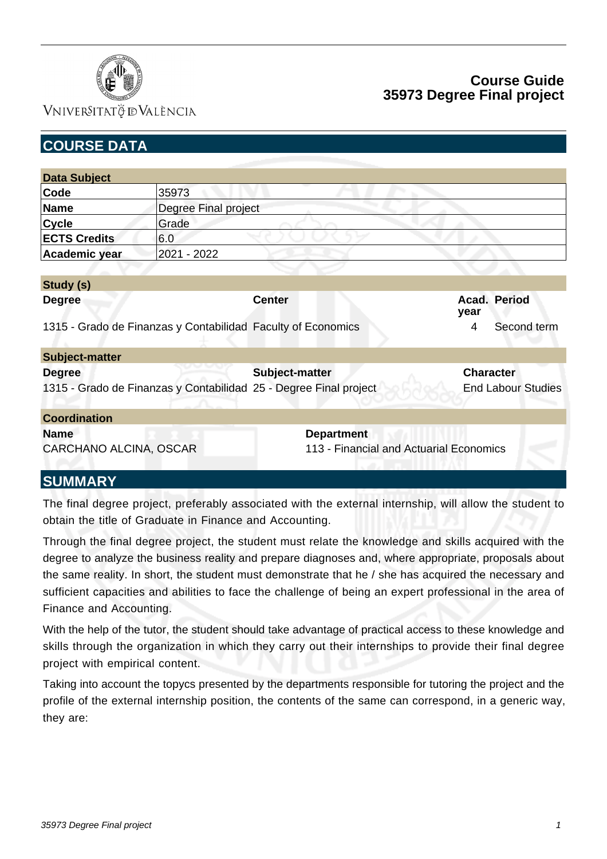

# **Course Guide 35973 Degree Final project**

| <b>COURSE DATA</b>     |                      |                                                                   |                                         |                           |
|------------------------|----------------------|-------------------------------------------------------------------|-----------------------------------------|---------------------------|
|                        |                      |                                                                   |                                         |                           |
| <b>Data Subject</b>    |                      |                                                                   |                                         |                           |
| Code                   | 35973                |                                                                   |                                         |                           |
| <b>Name</b>            | Degree Final project |                                                                   |                                         |                           |
| <b>Cycle</b>           | Grade                |                                                                   |                                         |                           |
| <b>ECTS Credits</b>    | 6.0                  |                                                                   |                                         |                           |
| Academic year          | 2021 - 2022          |                                                                   |                                         |                           |
|                        |                      |                                                                   |                                         |                           |
| Study (s)              |                      |                                                                   |                                         |                           |
| <b>Degree</b>          |                      | <b>Center</b>                                                     |                                         | Acad. Period<br>year      |
|                        |                      | 1315 - Grado de Finanzas y Contabilidad Faculty of Economics      |                                         | Second term<br>4          |
| <b>Subject-matter</b>  |                      |                                                                   |                                         |                           |
| <b>Degree</b>          |                      | Subject-matter                                                    |                                         | <b>Character</b>          |
|                        |                      | 1315 - Grado de Finanzas y Contabilidad 25 - Degree Final project |                                         | <b>End Labour Studies</b> |
| <b>Coordination</b>    |                      |                                                                   |                                         |                           |
| <b>Name</b>            |                      | <b>Department</b>                                                 |                                         |                           |
| CARCHANO ALCINA, OSCAR |                      |                                                                   | 113 - Financial and Actuarial Economics |                           |
| <b>SUMMARY</b>         |                      |                                                                   |                                         |                           |

The final degree project, preferably associated with the external internship, will allow the student to obtain the title of Graduate in Finance and Accounting.

Through the final degree project, the student must relate the knowledge and skills acquired with the degree to analyze the business reality and prepare diagnoses and, where appropriate, proposals about the same reality. In short, the student must demonstrate that he / she has acquired the necessary and sufficient capacities and abilities to face the challenge of being an expert professional in the area of Finance and Accounting.

With the help of the tutor, the student should take advantage of practical access to these knowledge and skills through the organization in which they carry out their internships to provide their final degree project with empirical content.

Taking into account the topycs presented by the departments responsible for tutoring the project and the profile of the external internship position, the contents of the same can correspond, in a generic way, they are: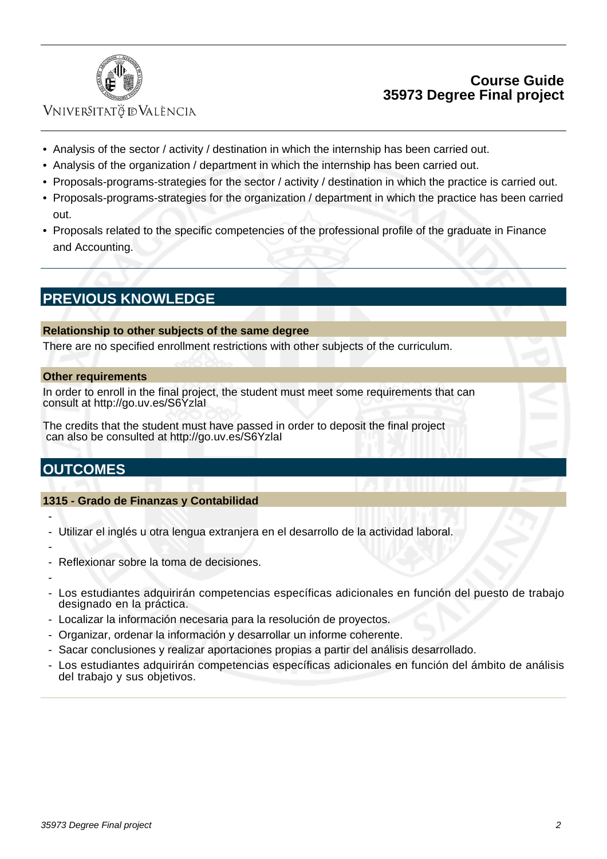

## **Course Guide 35973 Degree Final project**

## **VNIVERSITATÖ IDVALÈNCIA**

- Analysis of the sector / activity / destination in which the internship has been carried out.
- Analysis of the organization / department in which the internship has been carried out.
- Proposals-programs-strategies for the sector / activity / destination in which the practice is carried out.
- Proposals-programs-strategies for the organization / department in which the practice has been carried out.
- Proposals related to the specific competencies of the professional profile of the graduate in Finance and Accounting.

# **PREVIOUS KNOWLEDGE**

#### **Relationship to other subjects of the same degree**

There are no specified enrollment restrictions with other subjects of the curriculum.

#### **Other requirements**

In order to enroll in the final project, the student must meet some requirements that can consult at http://go.uv.es/S6YzlaI

The credits that the student must have passed in order to deposit the final project can also be consulted at http://go.uv.es/S6YzlaI

# **OUTCOMES**

#### **1315 - Grado de Finanzas y Contabilidad**

- -
- Utilizar el inglés u otra lengua extranjera en el desarrollo de la actividad laboral.
- -
- Reflexionar sobre la toma de decisiones.
- -
- Los estudiantes adquirirán competencias específicas adicionales en función del puesto de trabajo designado en la práctica.
- Localizar la información necesaria para la resolución de proyectos.
- Organizar, ordenar la información y desarrollar un informe coherente.
- Sacar conclusiones y realizar aportaciones propias a partir del análisis desarrollado.
- Los estudiantes adquirirán competencias específicas adicionales en función del ámbito de análisis del trabajo y sus objetivos.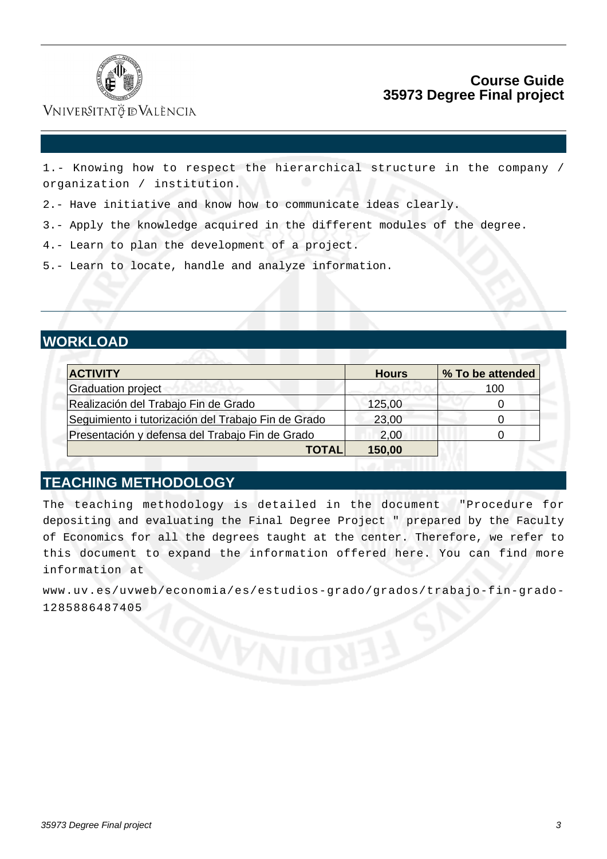

## **Course Guide 35973 Degree Final project**

## VNIVERSITATÖ ID VALÈNCIA

1.- Knowing how to respect the hierarchical structure in the company / organization / institution.

2.- Have initiative and know how to communicate ideas clearly.

3.- Apply the knowledge acquired in the different modules of the degree.

4.- Learn to plan the development of a project.

5.- Learn to locate, handle and analyze information.

# **WORKLOAD**

| <b>ACTIVITY</b>                                     | <b>Hours</b> | % To be attended |
|-----------------------------------------------------|--------------|------------------|
| Graduation project                                  |              | 100              |
| Realización del Trabajo Fin de Grado                | 125,00       |                  |
| Seguimiento i tutorización del Trabajo Fin de Grado | 23,00        |                  |
| Presentación y defensa del Trabajo Fin de Grado     | 2,00         |                  |
| <b>TOTAL</b>                                        | 150,00       |                  |

## **TEACHING METHODOLOGY**

The teaching methodology is detailed in the document "Procedure for depositing and evaluating the Final Degree Project " prepared by the Faculty of Economics for all the degrees taught at the center. Therefore, we refer to this document to expand the information offered here. You can find more information at

[www.uv.es/uvweb/economia/es/estudios-grado/grados/trabajo-fin-grado-](http:/www.uv.es/uvweb/economia/es/estudios-grado/grados/trabajo-fin-grado-1285886487405)[1285886487405](http:/www.uv.es/uvweb/economia/es/estudios-grado/grados/trabajo-fin-grado-1285886487405)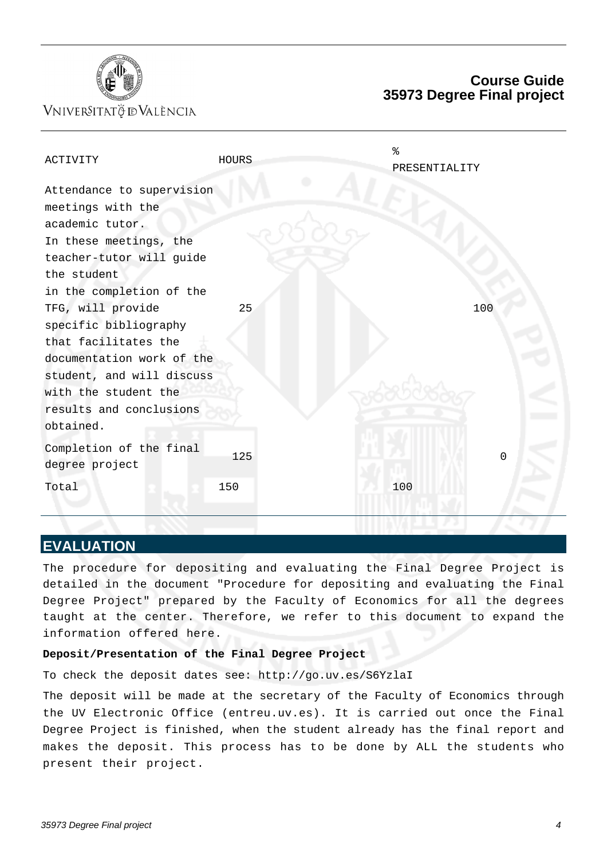

## **Course Guide 35973 Degree Final project**

| ACTIVITY                  | <b>HOURS</b> | နွ<br>PRESENTIALITY |             |
|---------------------------|--------------|---------------------|-------------|
| Attendance to supervision |              |                     |             |
| meetings with the         |              |                     |             |
| academic tutor.           |              |                     |             |
| In these meetings, the    |              |                     |             |
| teacher-tutor will guide  |              |                     |             |
| the student               |              |                     |             |
| in the completion of the  |              |                     |             |
| TFG, will provide         | 25           | 100                 |             |
| specific bibliography     |              |                     |             |
| that facilitates the      |              |                     |             |
| documentation work of the |              |                     |             |
| student, and will discuss |              |                     |             |
| with the student the      |              |                     |             |
| results and conclusions   |              |                     |             |
| obtained.                 |              |                     |             |
| Completion of the final   |              |                     |             |
| degree project            | 125          |                     | $\mathbf 0$ |
| Total                     | 150          | 100                 |             |
|                           |              |                     |             |

#### **EVALUATION**

The procedure for depositing and evaluating the Final Degree Project is detailed in the document "Procedure for depositing and evaluating the Final Degree Project" prepared by the Faculty of Economics for all the degrees taught at the center. Therefore, we refer to this document to expand the information offered here.

#### **Deposit/Presentation of the Final Degree Project**

To check the deposit dates see: http://go.uv.es/S6YzlaI

The deposit will be made at the secretary of the Faculty of Economics through the UV Electronic Office (entreu.uv.es). It is carried out once the Final Degree Project is finished, when the student already has the final report and makes the deposit. This process has to be done by ALL the students who present their project.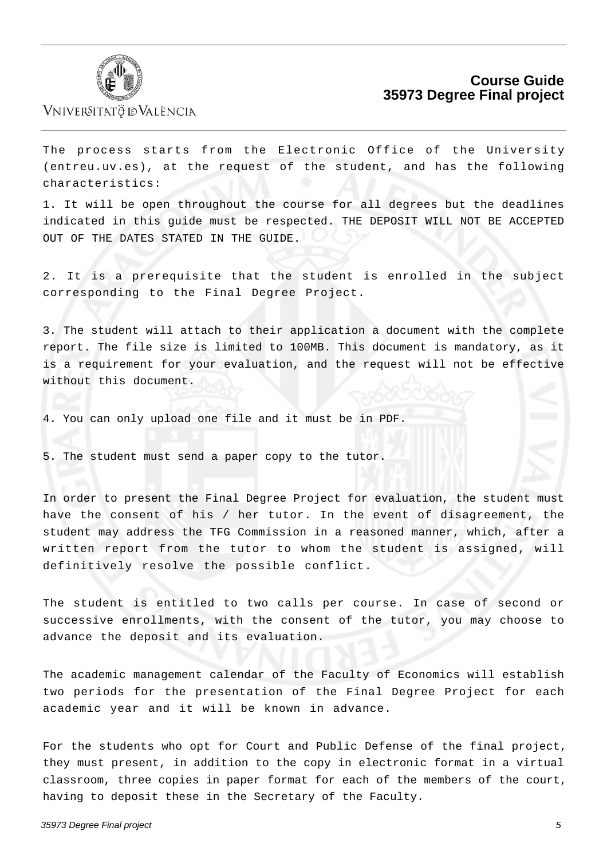

## **Course Guide 35973 Degree Final project**

The process starts from the Electronic Office of the University (entreu.uv.es), at the request of the student, and has the following characteristics:

1. It will be open throughout the course for all degrees but the deadlines indicated in this guide must be respected. THE DEPOSIT WILL NOT BE ACCEPTED OUT OF THE DATES STATED IN THE GUIDE.

2. It is a prerequisite that the student is enrolled in the subject corresponding to the Final Degree Project.

3. The student will attach to their application a document with the complete report. The file size is limited to 100MB. This document is mandatory, as it is a requirement for your evaluation, and the request will not be effective without this document.

4. You can only upload one file and it must be in PDF.

5. The student must send a paper copy to the tutor.

In order to present the Final Degree Project for evaluation, the student must have the consent of his / her tutor. In the event of disagreement, the student may address the TFG Commission in a reasoned manner, which, after a written report from the tutor to whom the student is assigned, will definitively resolve the possible conflict.

The student is entitled to two calls per course. In case of second or successive enrollments, with the consent of the tutor, you may choose to advance the deposit and its evaluation.

The academic management calendar of the Faculty of Economics will establish two periods for the presentation of the Final Degree Project for each academic year and it will be known in advance.

For the students who opt for Court and Public Defense of the final project, they must present, in addition to the copy in electronic format in a virtual classroom, three copies in paper format for each of the members of the court, having to deposit these in the Secretary of the Faculty.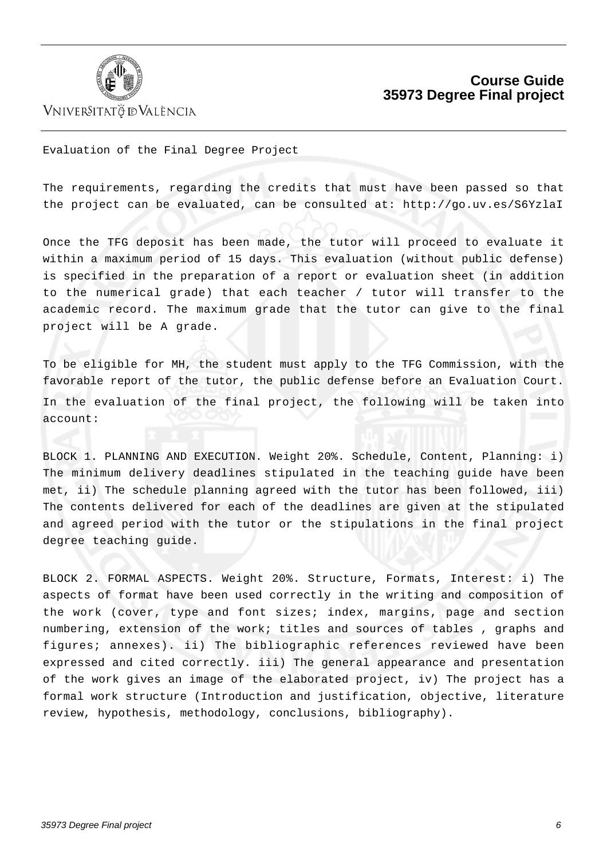

## **Course Guide 35973 Degree Final project**

Evaluation of the Final Degree Project

The requirements, regarding the credits that must have been passed so that the project can be evaluated, can be consulted at: http://go.uv.es/S6YzlaI

Once the TFG deposit has been made, the tutor will proceed to evaluate it within a maximum period of 15 days. This evaluation (without public defense) is specified in the preparation of a report or evaluation sheet (in addition to the numerical grade) that each teacher / tutor will transfer to the academic record. The maximum grade that the tutor can give to the final project will be A grade.

To be eligible for MH, the student must apply to the TFG Commission, with the favorable report of the tutor, the public defense before an Evaluation Court. In the evaluation of the final project, the following will be taken into account:

BLOCK 1. PLANNING AND EXECUTION. Weight 20%. Schedule, Content, Planning: i) The minimum delivery deadlines stipulated in the teaching guide have been met, ii) The schedule planning agreed with the tutor has been followed, iii) The contents delivered for each of the deadlines are given at the stipulated and agreed period with the tutor or the stipulations in the final project degree teaching guide.

BLOCK 2. FORMAL ASPECTS. Weight 20%. Structure, Formats, Interest: i) The aspects of format have been used correctly in the writing and composition of the work (cover, type and font sizes; index, margins, page and section numbering, extension of the work; titles and sources of tables , graphs and figures; annexes). ii) The bibliographic references reviewed have been expressed and cited correctly. iii) The general appearance and presentation of the work gives an image of the elaborated project, iv) The project has a formal work structure (Introduction and justification, objective, literature review, hypothesis, methodology, conclusions, bibliography).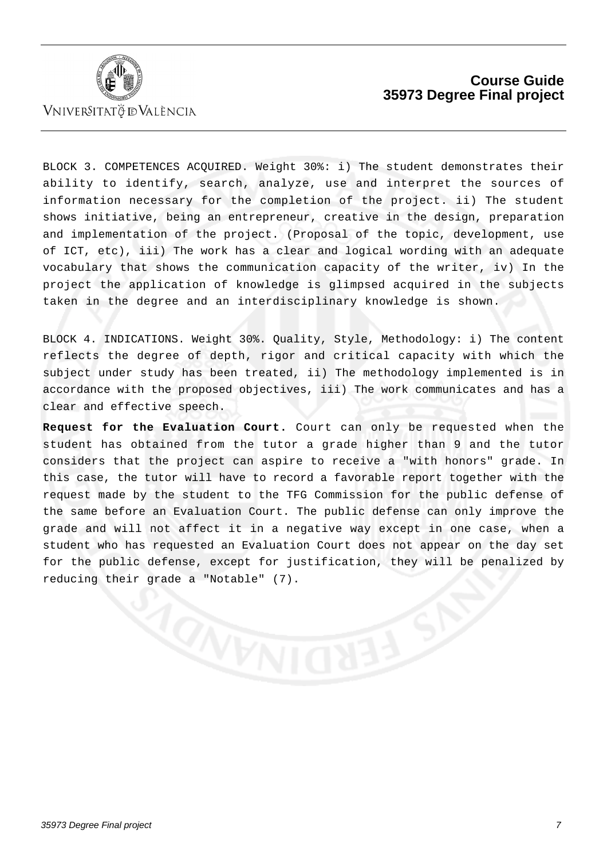

## **Course Guide 35973 Degree Final project**

BLOCK 3. COMPETENCES ACQUIRED. Weight 30%: i) The student demonstrates their ability to identify, search, analyze, use and interpret the sources of information necessary for the completion of the project. ii) The student shows initiative, being an entrepreneur, creative in the design, preparation and implementation of the project. (Proposal of the topic, development, use of ICT, etc), iii) The work has a clear and logical wording with an adequate vocabulary that shows the communication capacity of the writer, iv) In the project the application of knowledge is glimpsed acquired in the subjects taken in the degree and an interdisciplinary knowledge is shown.

BLOCK 4. INDICATIONS. Weight 30%. Quality, Style, Methodology: i) The content reflects the degree of depth, rigor and critical capacity with which the subject under study has been treated, ii) The methodology implemented is in accordance with the proposed objectives, iii) The work communicates and has a clear and effective speech.

**Request for the Evaluation Court.** Court can only be requested when the student has obtained from the tutor a grade higher than 9 and the tutor considers that the project can aspire to receive a "with honors" grade. In this case, the tutor will have to record a favorable report together with the request made by the student to the TFG Commission for the public defense of the same before an Evaluation Court. The public defense can only improve the grade and will not affect it in a negative way except in one case, when a student who has requested an Evaluation Court does not appear on the day set for the public defense, except for justification, they will be penalized by reducing their grade a "Notable" (7).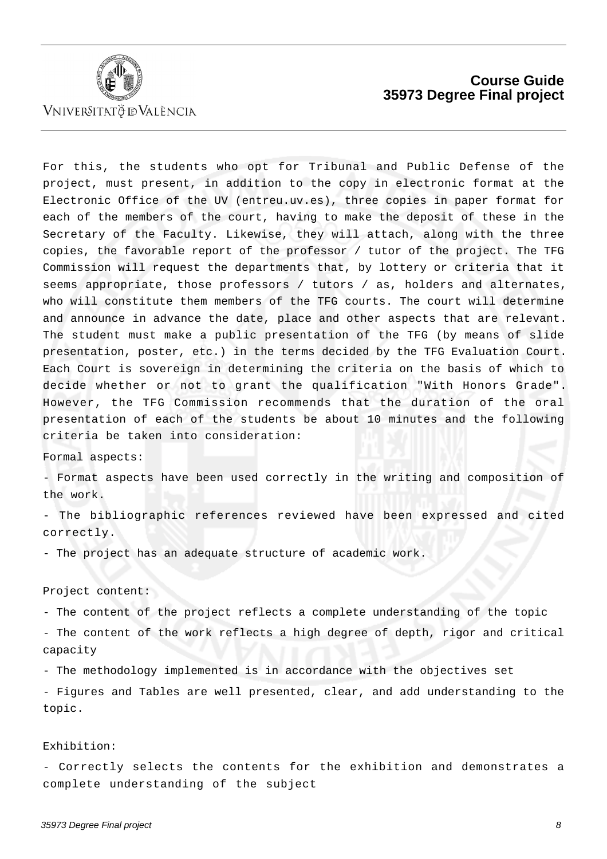

## **Course Guide 35973 Degree Final project**

For this, the students who opt for Tribunal and Public Defense of the project, must present, in addition to the copy in electronic format at the Electronic Office of the UV (entreu.uv.es), three copies in paper format for each of the members of the court, having to make the deposit of these in the Secretary of the Faculty. Likewise, they will attach, along with the three copies, the favorable report of the professor / tutor of the project. The TFG Commission will request the departments that, by lottery or criteria that it seems appropriate, those professors / tutors / as, holders and alternates, who will constitute them members of the TFG courts. The court will determine and announce in advance the date, place and other aspects that are relevant. The student must make a public presentation of the TFG (by means of slide presentation, poster, etc.) in the terms decided by the TFG Evaluation Court. Each Court is sovereign in determining the criteria on the basis of which to decide whether or not to grant the qualification "With Honors Grade". However, the TFG Commission recommends that the duration of the oral presentation of each of the students be about 10 minutes and the following criteria be taken into consideration:

Formal aspects:

- Format aspects have been used correctly in the writing and composition of the work.

- The bibliographic references reviewed have been expressed and cited correctly.

- The project has an adequate structure of academic work.

#### Project content:

- The content of the project reflects a complete understanding of the topic - The content of the work reflects a high degree of depth, rigor and critical capacity

- The methodology implemented is in accordance with the objectives set

- Figures and Tables are well presented, clear, and add understanding to the topic.

#### Exhibition:

- Correctly selects the contents for the exhibition and demonstrates a complete understanding of the subject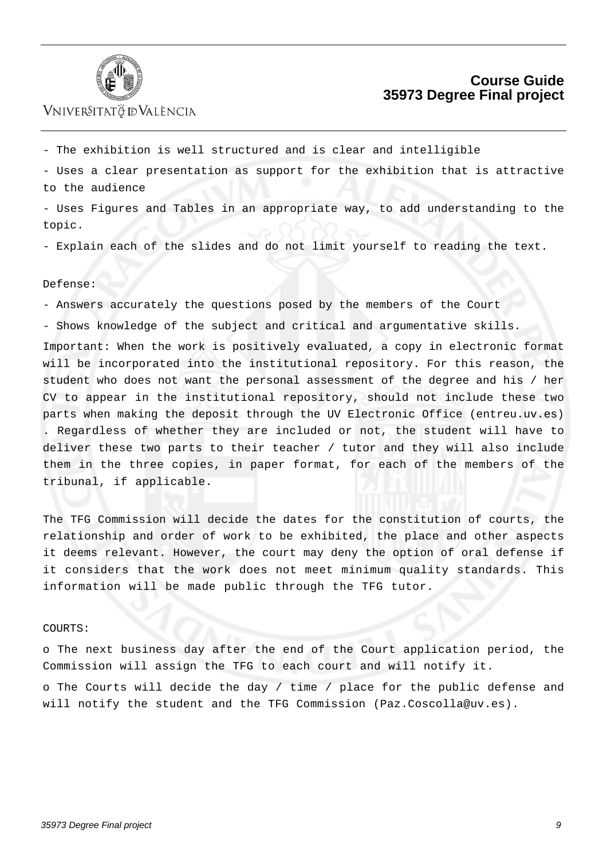

- The exhibition is well structured and is clear and intelligible

- Uses a clear presentation as support for the exhibition that is attractive to the audience

- Uses Figures and Tables in an appropriate way, to add understanding to the topic.

- Explain each of the slides and do not limit yourself to reading the text.

#### Defense:

- Answers accurately the questions posed by the members of the Court

- Shows knowledge of the subject and critical and argumentative skills.

Important: When the work is positively evaluated, a copy in electronic format will be incorporated into the institutional repository. For this reason, the student who does not want the personal assessment of the degree and his / her CV to appear in the institutional repository, should not include these two parts when making the deposit through the UV Electronic Office (entreu.uv.es) . Regardless of whether they are included or not, the student will have to deliver these two parts to their teacher / tutor and they will also include them in the three copies, in paper format, for each of the members of the tribunal, if applicable.

The TFG Commission will decide the dates for the constitution of courts, the relationship and order of work to be exhibited, the place and other aspects it deems relevant. However, the court may deny the option of oral defense if it considers that the work does not meet minimum quality standards. This information will be made public through the TFG tutor.

#### COURTS:

o The next business day after the end of the Court application period, the Commission will assign the TFG to each court and will notify it. o The Courts will decide the day / time / place for the public defense and

will notify the student and the TFG Commission (Paz.Coscolla@uv.es).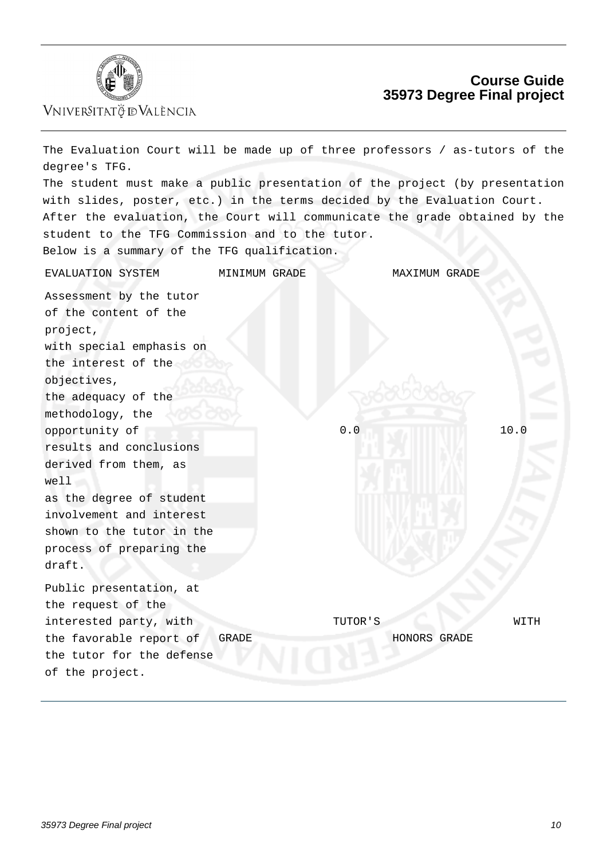

## **Course Guide 35973 Degree Final project**

| The Evaluation Court will be made up of three professors / as-tutors of the<br>degree's TFG.                                                            |               |               |  |  |  |  |
|---------------------------------------------------------------------------------------------------------------------------------------------------------|---------------|---------------|--|--|--|--|
| The student must make a public presentation of the project (by presentation<br>with slides, poster, etc.) in the terms decided by the Evaluation Court. |               |               |  |  |  |  |
| After the evaluation, the Court will communicate the grade obtained by the                                                                              |               |               |  |  |  |  |
| student to the TFG Commission and to the tutor.                                                                                                         |               |               |  |  |  |  |
| Below is a summary of the TFG qualification.                                                                                                            |               |               |  |  |  |  |
| EVALUATION SYSTEM                                                                                                                                       | MINIMUM GRADE | MAXIMUM GRADE |  |  |  |  |
| Assessment by the tutor                                                                                                                                 |               |               |  |  |  |  |
| of the content of the                                                                                                                                   |               |               |  |  |  |  |
| project,                                                                                                                                                |               |               |  |  |  |  |
| with special emphasis on                                                                                                                                |               |               |  |  |  |  |
| the interest of the                                                                                                                                     |               |               |  |  |  |  |
| objectives,                                                                                                                                             |               |               |  |  |  |  |
| the adequacy of the                                                                                                                                     |               |               |  |  |  |  |
| methodology, the                                                                                                                                        |               |               |  |  |  |  |
| opportunity of                                                                                                                                          | 0.0           | 10.0          |  |  |  |  |
| results and conclusions                                                                                                                                 |               |               |  |  |  |  |
| derived from them, as                                                                                                                                   |               |               |  |  |  |  |
| well                                                                                                                                                    |               |               |  |  |  |  |
| as the degree of student                                                                                                                                |               |               |  |  |  |  |
| involvement and interest                                                                                                                                |               |               |  |  |  |  |
| shown to the tutor in the                                                                                                                               |               |               |  |  |  |  |
| process of preparing the                                                                                                                                |               |               |  |  |  |  |
| draft.                                                                                                                                                  |               |               |  |  |  |  |
| Public presentation, at                                                                                                                                 |               |               |  |  |  |  |
| the request of the                                                                                                                                      |               |               |  |  |  |  |
| interested party, with                                                                                                                                  | TUTOR'S       | WITH          |  |  |  |  |
| the favorable report of<br><b>GRADE</b>                                                                                                                 |               | HONORS GRADE  |  |  |  |  |
| the tutor for the defense                                                                                                                               |               |               |  |  |  |  |
| of the project.                                                                                                                                         |               |               |  |  |  |  |